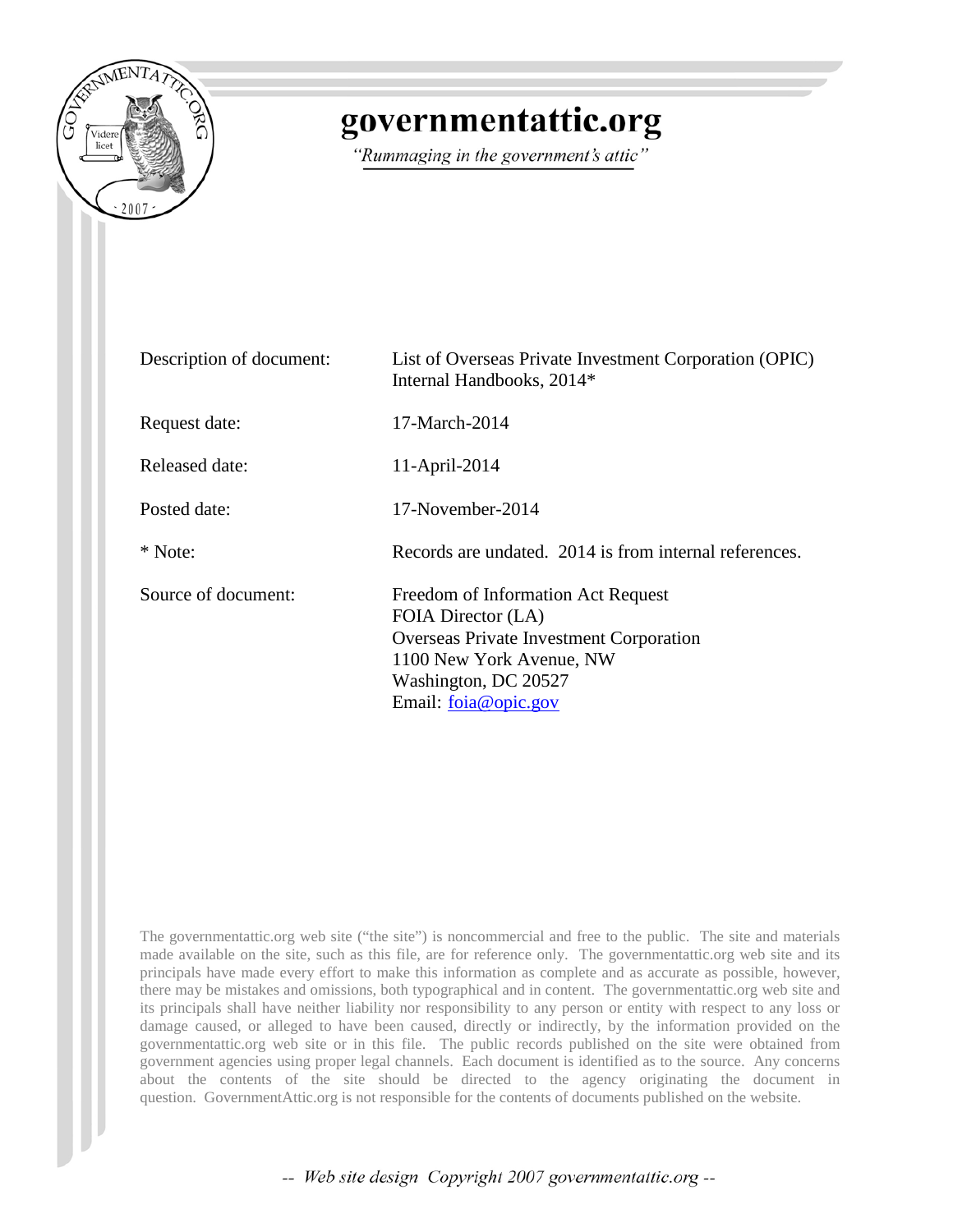

## governmentattic.org

"Rummaging in the government's attic"

| Description of document: | List of Overseas Private Investment Corporation (OPIC)<br>Internal Handbooks, 2014*                                                                                                |
|--------------------------|------------------------------------------------------------------------------------------------------------------------------------------------------------------------------------|
| Request date:            | 17-March-2014                                                                                                                                                                      |
| Released date:           | 11-April-2014                                                                                                                                                                      |
| Posted date:             | 17-November-2014                                                                                                                                                                   |
| * Note:                  | Records are undated. 2014 is from internal references.                                                                                                                             |
| Source of document:      | Freedom of Information Act Request<br>FOIA Director (LA)<br>Overseas Private Investment Corporation<br>1100 New York Avenue, NW<br>Washington, DC 20527<br>Email: $f$ oja@opic.gov |

The governmentattic.org web site ("the site") is noncommercial and free to the public. The site and materials made available on the site, such as this file, are for reference only. The governmentattic.org web site and its principals have made every effort to make this information as complete and as accurate as possible, however, there may be mistakes and omissions, both typographical and in content. The governmentattic.org web site and its principals shall have neither liability nor responsibility to any person or entity with respect to any loss or damage caused, or alleged to have been caused, directly or indirectly, by the information provided on the governmentattic.org web site or in this file. The public records published on the site were obtained from government agencies using proper legal channels. Each document is identified as to the source. Any concerns about the contents of the site should be directed to the agency originating the document in question. GovernmentAttic.org is not responsible for the contents of documents published on the website.

-- Web site design Copyright 2007 governmentattic.org --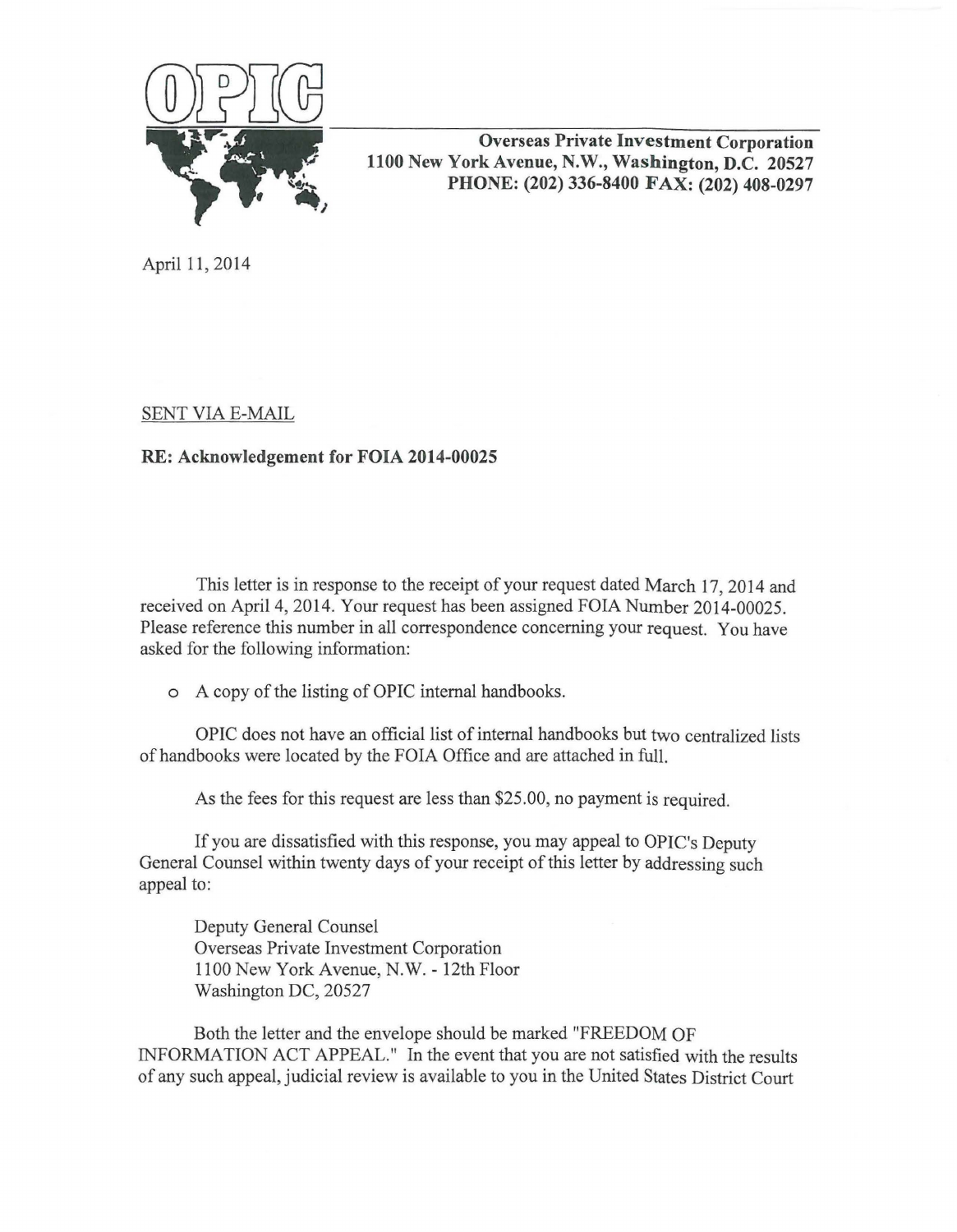

**Overseas Private Investment Corporation 1100 New York Avenue, N.W., Washington, D.C. 20527 PHONE: (202) 336-8400 FAX: (202) 408-0297** 

April 11, 2014

SENT VIA E-MAIL

## **RE: Acknowledgement for FOIA 2014-00025**

This letter is in response to the receipt of your request dated March 17, 2014 and received on April 4, 2014. Your request has been assigned FOIA Number 2014-00025. Please reference this number in all correspondence concerning your request. You have asked for the following information:

o A copy of the listing of OPIC internal handbooks.

OPIC does not have an official list of internal handbooks but two centralized lists of handbooks were located by the FOIA Office and are attached in full.

As the fees for this request are less than \$25.00, no payment is required.

If you are dissatisfied with this response, you may appeal to OPIC's Deputy General Counsel within twenty days of your receipt of this letter by addressing such appeal to:

Deputy General Counsel Overseas Private Investment Corporation 1100 New York Avenue, N.W. - 12th Floor Washington DC, 20527

Both the letter and the envelope should be marked "FREEDOM OF INFORMATION ACT APPEAL." In the event that you are not satisfied with the results of any such appeal, judicial review is available to you in the United States District Court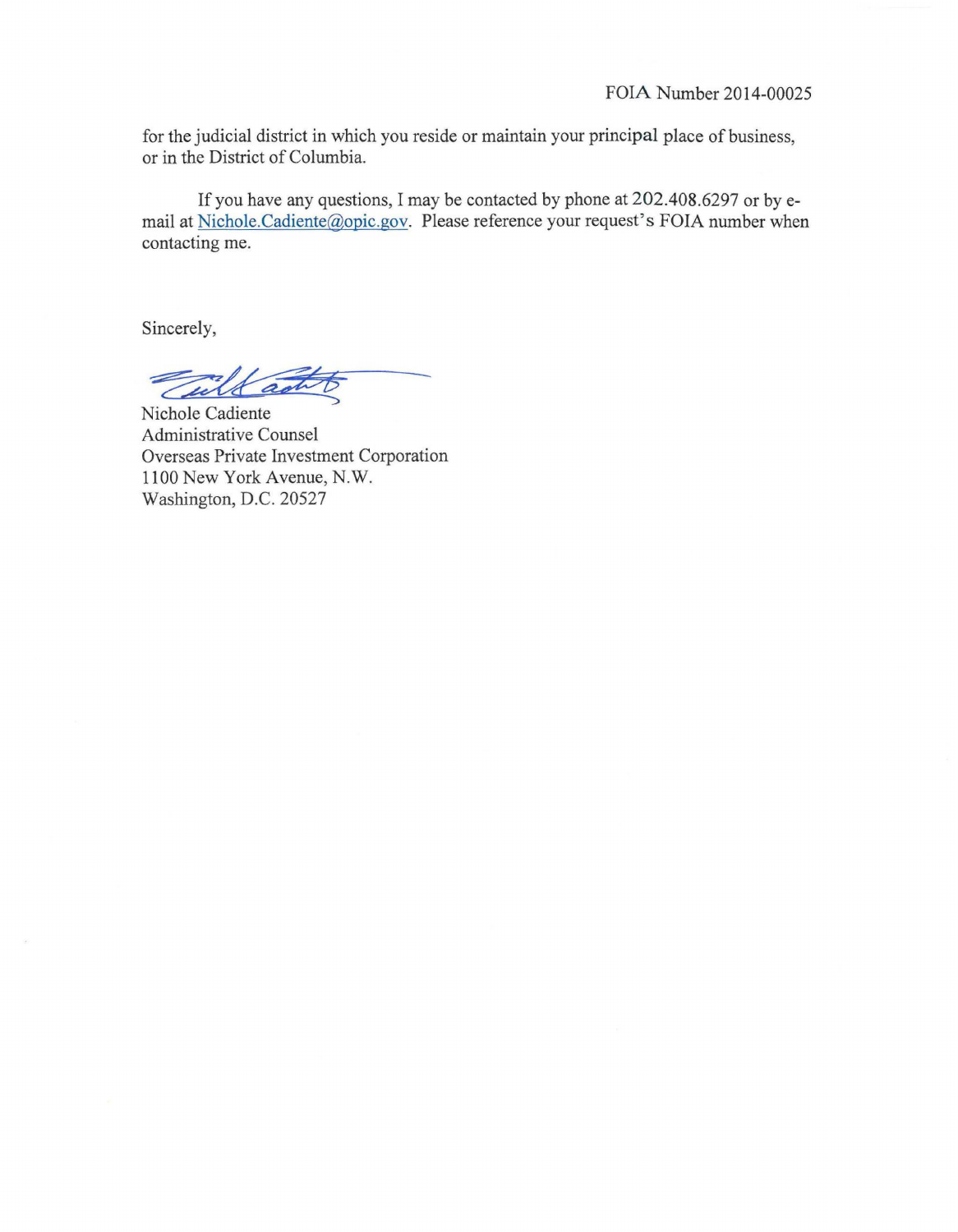for the judicial district in which you reside or maintain your principal place of business, or in the District of Columbia.

If you have any questions, I may be contacted by phone at 202.408.6297 or byemail at Nichole.Cadiente@opic.gov. Please reference your request's FOIA number when contacting me.

Sincerely,

Sincerely,

Nichole Cadiente Administrative Counsel Overseas Private Investment Corporation 1100 New York Avenue, N.W. Washington, D.C. 20527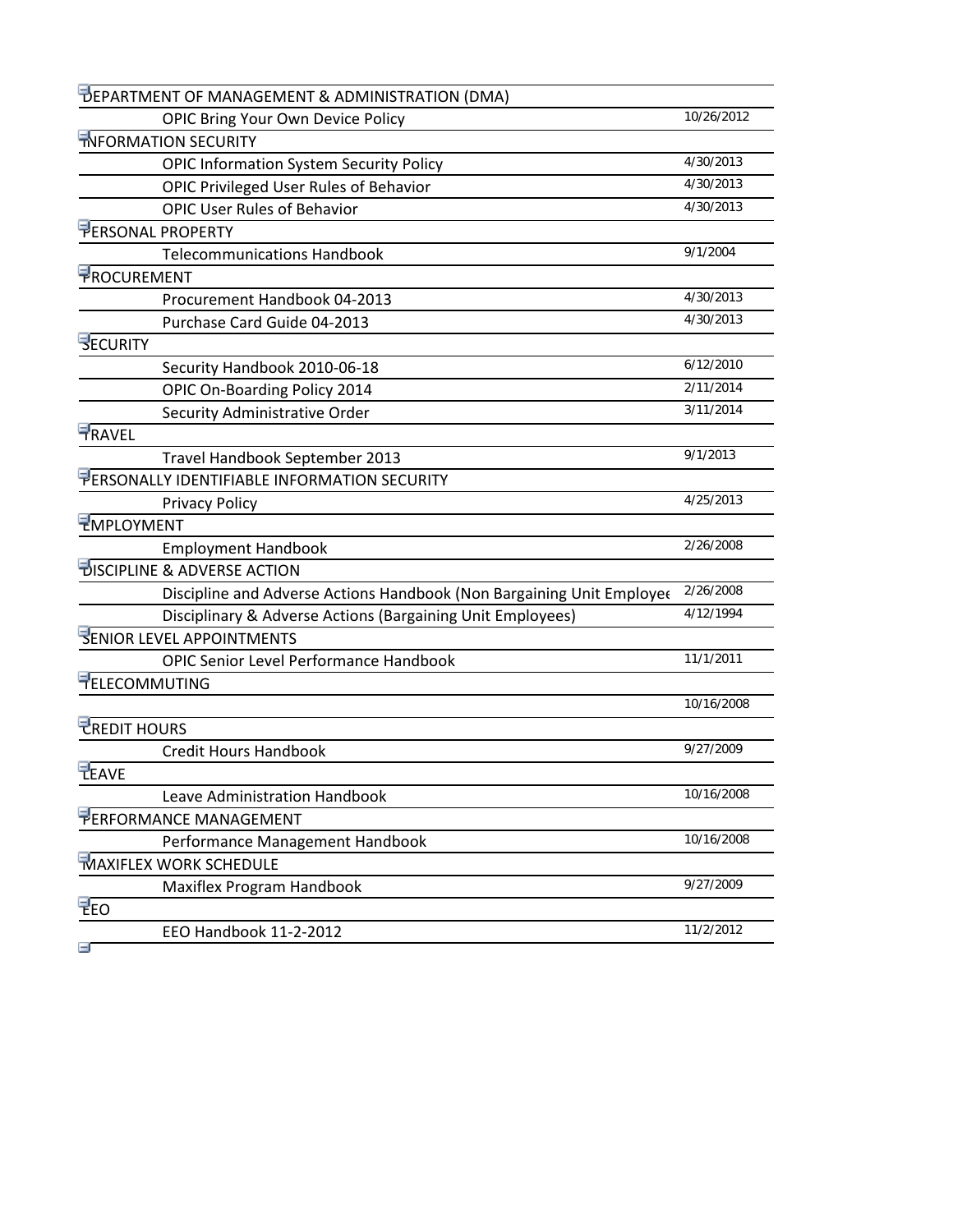| DEPARTMENT OF MANAGEMENT & ADMINISTRATION (DMA)                       |            |
|-----------------------------------------------------------------------|------------|
| <b>OPIC Bring Your Own Device Policy</b>                              | 10/26/2012 |
| <b>TNFORMATION SECURITY</b>                                           |            |
| <b>OPIC Information System Security Policy</b>                        | 4/30/2013  |
| OPIC Privileged User Rules of Behavior                                | 4/30/2013  |
| <b>OPIC User Rules of Behavior</b>                                    | 4/30/2013  |
| PERSONAL PROPERTY                                                     |            |
| <b>Telecommunications Handbook</b>                                    | 9/1/2004   |
| <b>FROCUREMENT</b>                                                    |            |
| Procurement Handbook 04-2013                                          | 4/30/2013  |
| Purchase Card Guide 04-2013                                           | 4/30/2013  |
| <b>SECURITY</b>                                                       |            |
| Security Handbook 2010-06-18                                          | 6/12/2010  |
| OPIC On-Boarding Policy 2014                                          | 2/11/2014  |
| Security Administrative Order                                         | 3/11/2014  |
| <b>TRAVEL</b>                                                         |            |
| Travel Handbook September 2013                                        | 9/1/2013   |
| PERSONALLY IDENTIFIABLE INFORMATION SECURITY                          |            |
| <b>Privacy Policy</b>                                                 | 4/25/2013  |
| <b>EMPLOYMENT</b>                                                     |            |
| <b>Employment Handbook</b>                                            | 2/26/2008  |
| <b>DISCIPLINE &amp; ADVERSE ACTION</b>                                |            |
| Discipline and Adverse Actions Handbook (Non Bargaining Unit Employee | 2/26/2008  |
| Disciplinary & Adverse Actions (Bargaining Unit Employees)            | 4/12/1994  |
| <b>SENIOR LEVEL APPOINTMENTS</b>                                      |            |
| <b>OPIC Senior Level Performance Handbook</b>                         | 11/1/2011  |
| <b>FELECOMMUTING</b>                                                  |            |
|                                                                       | 10/16/2008 |
| <b>CREDIT HOURS</b>                                                   |            |
| <b>Credit Hours Handbook</b>                                          | 9/27/2009  |
| <b>TEAVE</b>                                                          |            |
| Leave Administration Handbook                                         | 10/16/2008 |
| PERFORMANCE MANAGEMENT                                                |            |
| Performance Management Handbook                                       | 10/16/2008 |
| <b>MAXIFLEX WORK SCHEDULE</b>                                         |            |
| Maxiflex Program Handbook                                             | 9/27/2009  |
| <b>FEO</b>                                                            |            |
| EEO Handbook 11-2-2012                                                | 11/2/2012  |
| Ξ                                                                     |            |